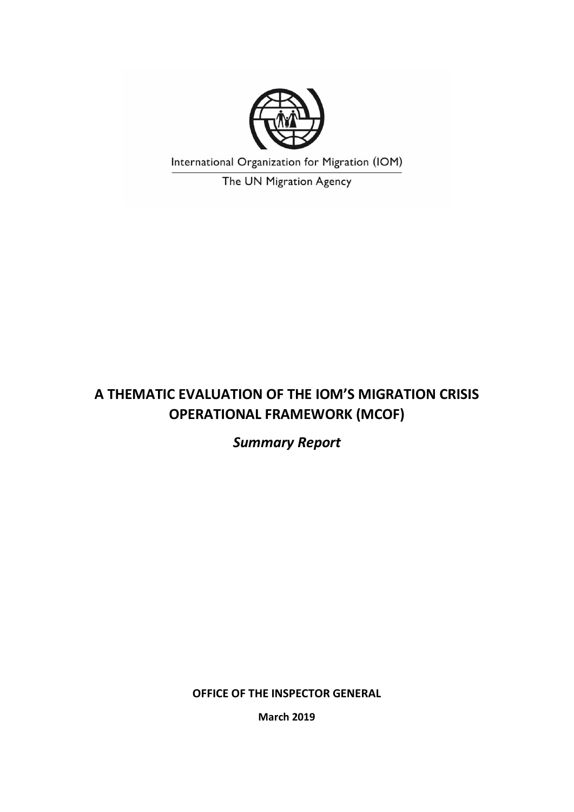

International Organization for Migration (IOM)

The UN Migration Agency

# **A THEMATIC EVALUATION OF THE IOM'S MIGRATION CRISIS OPERATIONAL FRAMEWORK (MCOF)**

*Summary Report*

**OFFICE OF THE INSPECTOR GENERAL**

**March 2019**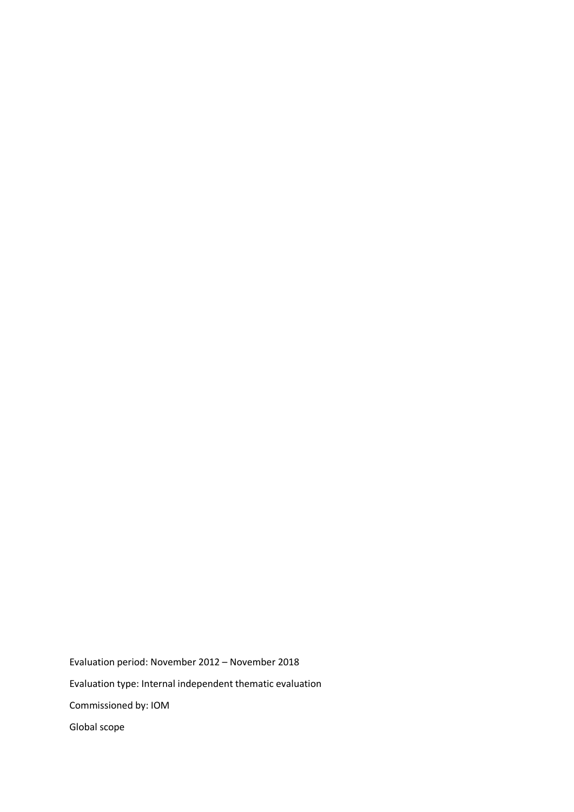Evaluation period: November 2012 – November 2018 Evaluation type: Internal independent thematic evaluation Commissioned by: IOM Global scope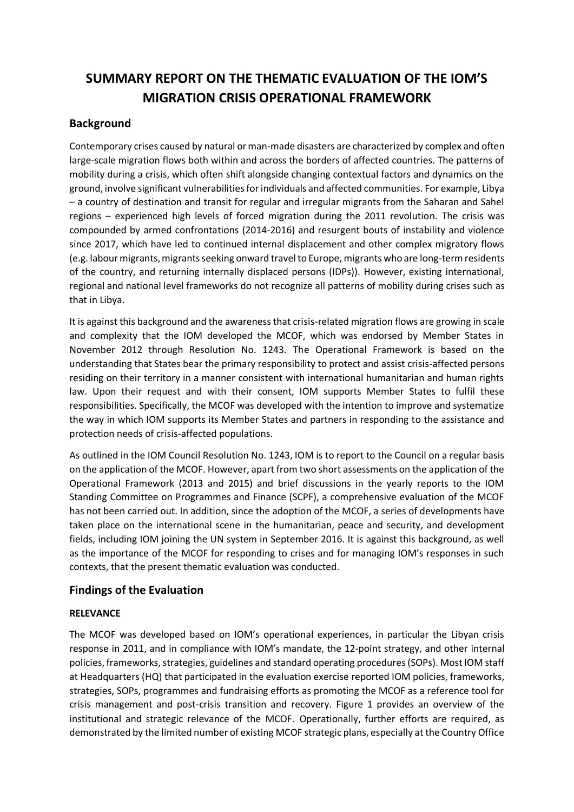## **SUMMARY REPORT ON THE THEMATIC EVALUATION OF THE IOM'S MIGRATION CRISIS OPERATIONAL FRAMEWORK**

## **Background**

Contemporary crises caused by natural or man-made disasters are characterized by complex and often large-scale migration flows both within and across the borders of affected countries. The patterns of mobility during a crisis, which often shift alongside changing contextual factors and dynamics on the ground, involve significant vulnerabilities for individuals and affected communities. For example, Libya – a country of destination and transit for regular and irregular migrants from the Saharan and Sahel regions – experienced high levels of forced migration during the 2011 revolution. The crisis was compounded by armed confrontations (2014-2016) and resurgent bouts of instability and violence since 2017, which have led to continued internal displacement and other complex migratory flows (e.g. labour migrants, migrants seeking onward travel to Europe, migrants who are long-term residents of the country, and returning internally displaced persons (IDPs)). However, existing international, regional and national level frameworks do not recognize all patterns of mobility during crises such as that in Libya.

It is against this background and the awareness that crisis-related migration flows are growing in scale and complexity that the IOM developed the MCOF, which was endorsed by Member States in November 2012 through Resolution No. 1243. The Operational Framework is based on the understanding that States bear the primary responsibility to protect and assist crisis-affected persons residing on their territory in a manner consistent with international humanitarian and human rights law. Upon their request and with their consent, IOM supports Member States to fulfil these responsibilities. Specifically, the MCOF was developed with the intention to improve and systematize the way in which IOM supports its Member States and partners in responding to the assistance and protection needs of crisis-affected populations.

As outlined in the IOM Council Resolution No. 1243, IOM is to report to the Council on a regular basis on the application of the MCOF. However, apart from two short assessments on the application of the Operational Framework (2013 and 2015) and brief discussions in the yearly reports to the IOM Standing Committee on Programmes and Finance (SCPF), a comprehensive evaluation of the MCOF has not been carried out. In addition, since the adoption of the MCOF, a series of developments have taken place on the international scene in the humanitarian, peace and security, and development fields, including IOM joining the UN system in September 2016. It is against this background, as well as the importance of the MCOF for responding to crises and for managing IOM's responses in such contexts, that the present thematic evaluation was conducted.

## **Findings of the Evaluation**

## **RELEVANCE**

The MCOF was developed based on IOM's operational experiences, in particular the Libyan crisis response in 2011, and in compliance with IOM's mandate, the 12-point strategy, and other internal policies, frameworks, strategies, guidelines and standard operating procedures(SOPs). Most IOM staff at Headquarters (HQ) that participated in the evaluation exercise reported IOM policies, frameworks, strategies, SOPs, programmes and fundraising efforts as promoting the MCOF as a reference tool for crisis management and post-crisis transition and recovery. Figure 1 provides an overview of the institutional and strategic relevance of the MCOF. Operationally, further efforts are required, as demonstrated by the limited number of existing MCOF strategic plans, especially at the Country Office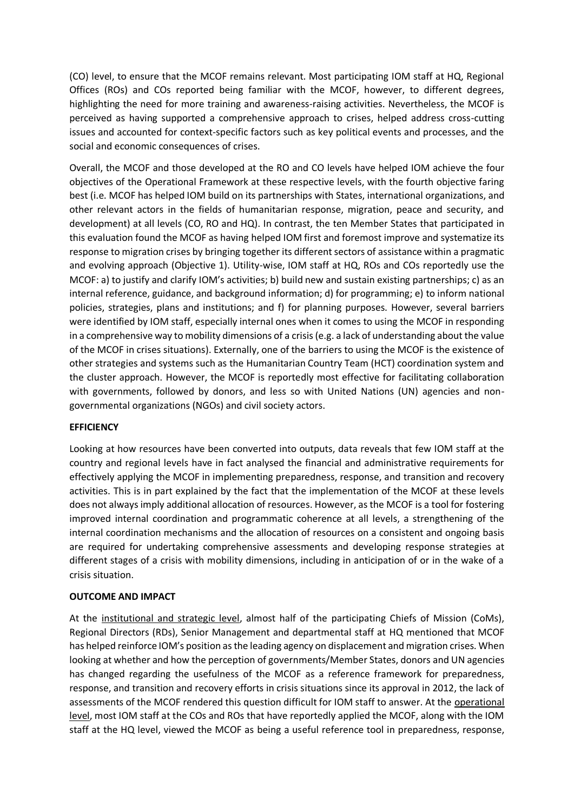(CO) level, to ensure that the MCOF remains relevant. Most participating IOM staff at HQ, Regional Offices (ROs) and COs reported being familiar with the MCOF, however, to different degrees, highlighting the need for more training and awareness-raising activities. Nevertheless, the MCOF is perceived as having supported a comprehensive approach to crises, helped address cross-cutting issues and accounted for context-specific factors such as key political events and processes, and the social and economic consequences of crises.

Overall, the MCOF and those developed at the RO and CO levels have helped IOM achieve the four objectives of the Operational Framework at these respective levels, with the fourth objective faring best (i.e. MCOF has helped IOM build on its partnerships with States, international organizations, and other relevant actors in the fields of humanitarian response, migration, peace and security, and development) at all levels (CO, RO and HQ). In contrast, the ten Member States that participated in this evaluation found the MCOF as having helped IOM first and foremost improve and systematize its response to migration crises by bringing together its different sectors of assistance within a pragmatic and evolving approach (Objective 1). Utility-wise, IOM staff at HQ, ROs and COs reportedly use the MCOF: a) to justify and clarify IOM's activities; b) build new and sustain existing partnerships; c) as an internal reference, guidance, and background information; d) for programming; e) to inform national policies, strategies, plans and institutions; and f) for planning purposes. However, several barriers were identified by IOM staff, especially internal ones when it comes to using the MCOF in responding in a comprehensive way to mobility dimensions of a crisis (e.g. a lack of understanding about the value of the MCOF in crises situations). Externally, one of the barriers to using the MCOF is the existence of other strategies and systems such as the Humanitarian Country Team (HCT) coordination system and the cluster approach. However, the MCOF is reportedly most effective for facilitating collaboration with governments, followed by donors, and less so with United Nations (UN) agencies and nongovernmental organizations (NGOs) and civil society actors.

#### **EFFICIENCY**

Looking at how resources have been converted into outputs, data reveals that few IOM staff at the country and regional levels have in fact analysed the financial and administrative requirements for effectively applying the MCOF in implementing preparedness, response, and transition and recovery activities. This is in part explained by the fact that the implementation of the MCOF at these levels does not always imply additional allocation of resources. However, as the MCOF is a tool for fostering improved internal coordination and programmatic coherence at all levels, a strengthening of the internal coordination mechanisms and the allocation of resources on a consistent and ongoing basis are required for undertaking comprehensive assessments and developing response strategies at different stages of a crisis with mobility dimensions, including in anticipation of or in the wake of a crisis situation.

#### **OUTCOME AND IMPACT**

At the institutional and strategic level, almost half of the participating Chiefs of Mission (CoMs), Regional Directors (RDs), Senior Management and departmental staff at HQ mentioned that MCOF has helped reinforce IOM's position as the leading agency on displacement and migration crises. When looking at whether and how the perception of governments/Member States, donors and UN agencies has changed regarding the usefulness of the MCOF as a reference framework for preparedness, response, and transition and recovery efforts in crisis situations since its approval in 2012, the lack of assessments of the MCOF rendered this question difficult for IOM staff to answer. At the operational level, most IOM staff at the COs and ROs that have reportedly applied the MCOF, along with the IOM staff at the HQ level, viewed the MCOF as being a useful reference tool in preparedness, response,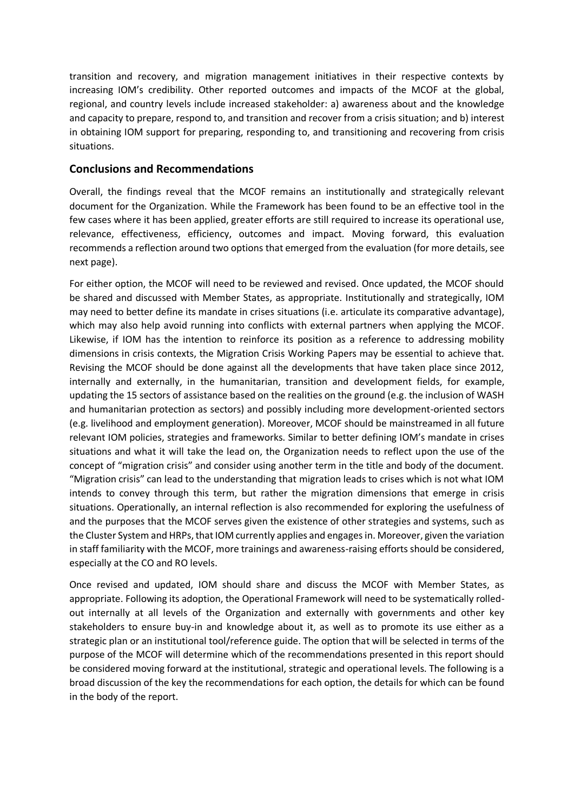transition and recovery, and migration management initiatives in their respective contexts by increasing IOM's credibility. Other reported outcomes and impacts of the MCOF at the global, regional, and country levels include increased stakeholder: a) awareness about and the knowledge and capacity to prepare, respond to, and transition and recover from a crisis situation; and b) interest in obtaining IOM support for preparing, responding to, and transitioning and recovering from crisis situations.

## **Conclusions and Recommendations**

Overall, the findings reveal that the MCOF remains an institutionally and strategically relevant document for the Organization. While the Framework has been found to be an effective tool in the few cases where it has been applied, greater efforts are still required to increase its operational use, relevance, effectiveness, efficiency, outcomes and impact. Moving forward, this evaluation recommends a reflection around two options that emerged from the evaluation (for more details, see next page).

For either option, the MCOF will need to be reviewed and revised. Once updated, the MCOF should be shared and discussed with Member States, as appropriate. Institutionally and strategically, IOM may need to better define its mandate in crises situations (i.e. articulate its comparative advantage), which may also help avoid running into conflicts with external partners when applying the MCOF. Likewise, if IOM has the intention to reinforce its position as a reference to addressing mobility dimensions in crisis contexts, the Migration Crisis Working Papers may be essential to achieve that. Revising the MCOF should be done against all the developments that have taken place since 2012, internally and externally, in the humanitarian, transition and development fields, for example, updating the 15 sectors of assistance based on the realities on the ground (e.g. the inclusion of WASH and humanitarian protection as sectors) and possibly including more development-oriented sectors (e.g. livelihood and employment generation). Moreover, MCOF should be mainstreamed in all future relevant IOM policies, strategies and frameworks. Similar to better defining IOM's mandate in crises situations and what it will take the lead on, the Organization needs to reflect upon the use of the concept of "migration crisis" and consider using another term in the title and body of the document. "Migration crisis" can lead to the understanding that migration leads to crises which is not what IOM intends to convey through this term, but rather the migration dimensions that emerge in crisis situations. Operationally, an internal reflection is also recommended for exploring the usefulness of and the purposes that the MCOF serves given the existence of other strategies and systems, such as the Cluster System and HRPs, that IOM currently applies and engages in. Moreover, given the variation in staff familiarity with the MCOF, more trainings and awareness-raising efforts should be considered, especially at the CO and RO levels.

Once revised and updated, IOM should share and discuss the MCOF with Member States, as appropriate. Following its adoption, the Operational Framework will need to be systematically rolledout internally at all levels of the Organization and externally with governments and other key stakeholders to ensure buy-in and knowledge about it, as well as to promote its use either as a strategic plan or an institutional tool/reference guide. The option that will be selected in terms of the purpose of the MCOF will determine which of the recommendations presented in this report should be considered moving forward at the institutional, strategic and operational levels. The following is a broad discussion of the key the recommendations for each option, the details for which can be found in the body of the report.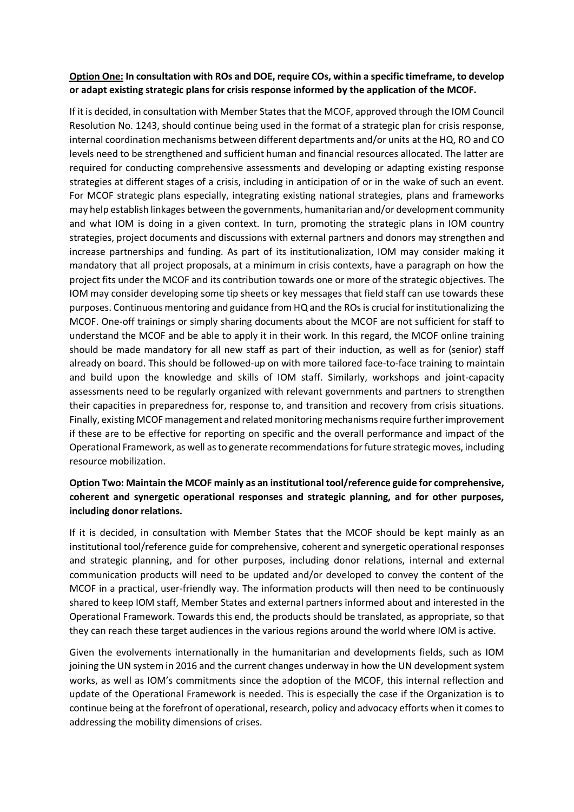## **Option One: In consultation with ROs and DOE, require COs, within a specific timeframe, to develop or adapt existing strategic plans for crisis response informed by the application of the MCOF.**

If it is decided, in consultation with Member States that the MCOF, approved through the IOM Council Resolution No. 1243, should continue being used in the format of a strategic plan for crisis response, internal coordination mechanisms between different departments and/or units at the HQ, RO and CO levels need to be strengthened and sufficient human and financial resources allocated. The latter are required for conducting comprehensive assessments and developing or adapting existing response strategies at different stages of a crisis, including in anticipation of or in the wake of such an event. For MCOF strategic plans especially, integrating existing national strategies, plans and frameworks may help establish linkages between the governments, humanitarian and/or development community and what IOM is doing in a given context. In turn, promoting the strategic plans in IOM country strategies, project documents and discussions with external partners and donors may strengthen and increase partnerships and funding. As part of its institutionalization, IOM may consider making it mandatory that all project proposals, at a minimum in crisis contexts, have a paragraph on how the project fits under the MCOF and its contribution towards one or more of the strategic objectives. The IOM may consider developing some tip sheets or key messages that field staff can use towards these purposes. Continuous mentoring and guidance from HQ and the ROs is crucial for institutionalizing the MCOF. One-off trainings or simply sharing documents about the MCOF are not sufficient for staff to understand the MCOF and be able to apply it in their work. In this regard, the MCOF online training should be made mandatory for all new staff as part of their induction, as well as for (senior) staff already on board. This should be followed-up on with more tailored face-to-face training to maintain and build upon the knowledge and skills of IOM staff. Similarly, workshops and joint-capacity assessments need to be regularly organized with relevant governments and partners to strengthen their capacities in preparedness for, response to, and transition and recovery from crisis situations. Finally, existing MCOF management and related monitoring mechanisms require further improvement if these are to be effective for reporting on specific and the overall performance and impact of the Operational Framework, as well as to generate recommendations for future strategic moves, including resource mobilization.

## **Option Two: Maintain the MCOF mainly as an institutional tool/reference guide for comprehensive, coherent and synergetic operational responses and strategic planning, and for other purposes, including donor relations.**

If it is decided, in consultation with Member States that the MCOF should be kept mainly as an institutional tool/reference guide for comprehensive, coherent and synergetic operational responses and strategic planning, and for other purposes, including donor relations, internal and external communication products will need to be updated and/or developed to convey the content of the MCOF in a practical, user-friendly way. The information products will then need to be continuously shared to keep IOM staff, Member States and external partners informed about and interested in the Operational Framework. Towards this end, the products should be translated, as appropriate, so that they can reach these target audiences in the various regions around the world where IOM is active.

Given the evolvements internationally in the humanitarian and developments fields, such as IOM joining the UN system in 2016 and the current changes underway in how the UN development system works, as well as IOM's commitments since the adoption of the MCOF, this internal reflection and update of the Operational Framework is needed. This is especially the case if the Organization is to continue being at the forefront of operational, research, policy and advocacy efforts when it comes to addressing the mobility dimensions of crises.